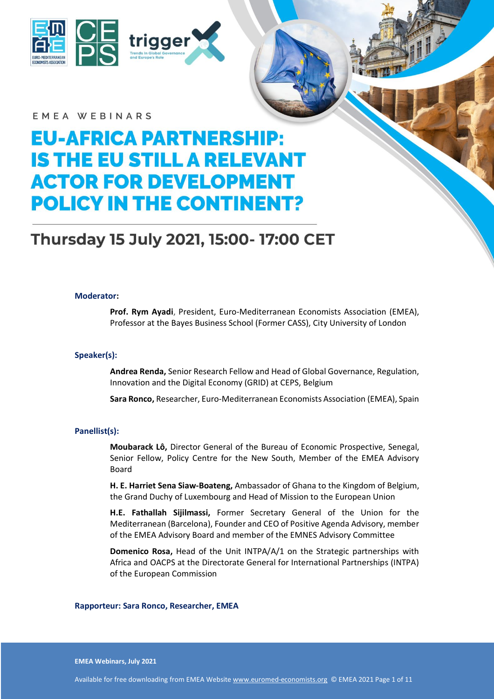

EMEA WEBINARS

# **EU-AFRICA PARTNERSHIP: IS THE EU STILL A RELEVANT ACTOR FOR DEVELOPMENT POLICY IN THE CONTINENT?**

## Thursday 15 July 2021, 15:00-17:00 CET

#### **Moderator:**

**Prof. Rym Ayadi**, President, Euro-Mediterranean Economists Association (EMEA), Professor at the Bayes Business School (Former CASS), City University of London

#### **Speaker(s):**

**Andrea Renda,** Senior Research Fellow and Head of Global Governance, Regulation, Innovation and the Digital Economy (GRID) at CEPS, Belgium

**Sara Ronco,** Researcher, Euro-Mediterranean Economists Association (EMEA), Spain

#### **Panellist(s):**

**Moubarack Lô,** Director General of the Bureau of Economic Prospective, Senegal, Senior Fellow, Policy Centre for the New South, Member of the EMEA Advisory Board

**H. E. Harriet Sena Siaw-Boateng,** Ambassador of Ghana to the Kingdom of Belgium, the Grand Duchy of Luxembourg and Head of Mission to the European Union

**H.E. Fathallah Sijilmassi,** Former Secretary General of the Union for the Mediterranean (Barcelona), Founder and CEO of Positive Agenda Advisory, member of the EMEA Advisory Board and member of the EMNES Advisory Committee

**Domenico Rosa,** Head of the Unit INTPA/A/1 on the Strategic partnerships with Africa and OACPS at the Directorate General for International Partnerships (INTPA) of the European Commission

#### **Rapporteur: Sara Ronco, Researcher, EMEA**

**EMEA Webinars, July 2021**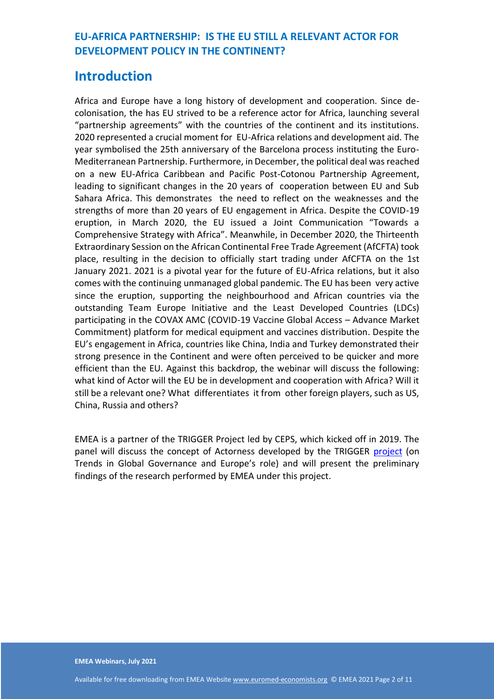## **Introduction**

Africa and Europe have a long history of development and cooperation. Since decolonisation, the has EU strived to be a reference actor for Africa, launching several "partnership agreements" with the countries of the continent and its institutions. 2020 represented a crucial moment for EU-Africa relations and development aid. The year symbolised the 25th anniversary of the Barcelona process instituting the Euro-Mediterranean Partnership. Furthermore, in December, the political deal was reached on a new EU-Africa Caribbean and Pacific Post-Cotonou Partnership Agreement, leading to significant changes in the 20 years of cooperation between EU and Sub Sahara Africa. This demonstrates the need to reflect on the weaknesses and the strengths of more than 20 years of EU engagement in Africa. Despite the COVID-19 eruption, in March 2020, the EU issued a Joint Communication "Towards a Comprehensive Strategy with Africa". Meanwhile, in December 2020, the Thirteenth Extraordinary Session on the African Continental Free Trade Agreement (AfCFTA) took place, resulting in the decision to officially start trading under AfCFTA on the 1st January 2021. 2021 is a pivotal year for the future of EU-Africa relations, but it also comes with the continuing unmanaged global pandemic. The EU has been very active since the eruption, supporting the neighbourhood and African countries via the outstanding Team Europe Initiative and the Least Developed Countries (LDCs) participating in the COVAX AMC (COVID-19 Vaccine Global Access – Advance Market Commitment) platform for medical equipment and vaccines distribution. Despite the EU's engagement in Africa, countries like China, India and Turkey demonstrated their strong presence in the Continent and were often perceived to be quicker and more efficient than the EU. Against this backdrop, the webinar will discuss the following: what kind of Actor will the EU be in development and cooperation with Africa? Will it still be a relevant one? What differentiates it from other foreign players, such as US, China, Russia and others?

EMEA is a partner of the TRIGGER Project led by CEPS, which kicked off in 2019. The panel will discuss the concept of Actorness developed by the TRIGGER [project](https://trigger-project.eu/) (on Trends in Global Governance and Europe's role) and will present the preliminary findings of the research performed by EMEA under this project.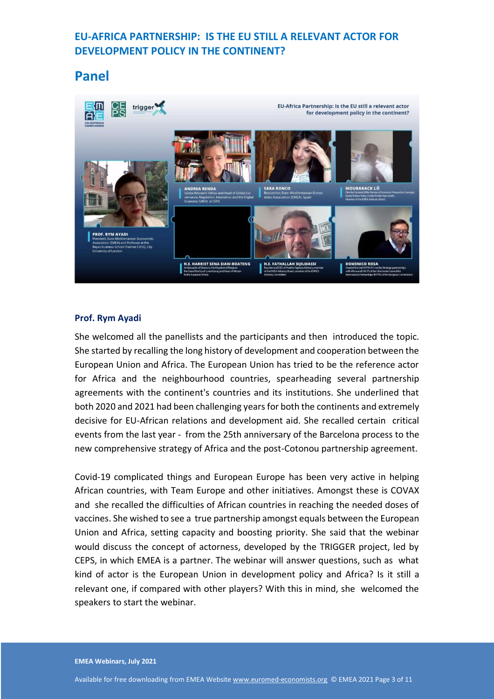## **Panel**



#### **Prof. Rym Ayadi**

She welcomed all the panellists and the participants and then introduced the topic. She started by recalling the long history of development and cooperation between the European Union and Africa. The European Union has tried to be the reference actor for Africa and the neighbourhood countries, spearheading several partnership agreements with the continent's countries and its institutions. She underlined that both 2020 and 2021 had been challenging years for both the continents and extremely decisive for EU-African relations and development aid. She recalled certain critical events from the last year - from the 25th anniversary of the Barcelona process to the new comprehensive strategy of Africa and the post-Cotonou partnership agreement.

Covid-19 complicated things and European Europe has been very active in helping African countries, with Team Europe and other initiatives. Amongst these is COVAX and she recalled the difficulties of African countries in reaching the needed doses of vaccines. She wished to see a true partnership amongst equals between the European Union and Africa, setting capacity and boosting priority. She said that the webinar would discuss the concept of actorness, developed by the TRIGGER project, led by CEPS, in which EMEA is a partner. The webinar will answer questions, such as what kind of actor is the European Union in development policy and Africa? Is it still a relevant one, if compared with other players? With this in mind, she welcomed the speakers to start the webinar.

**EMEA Webinars, July 2021**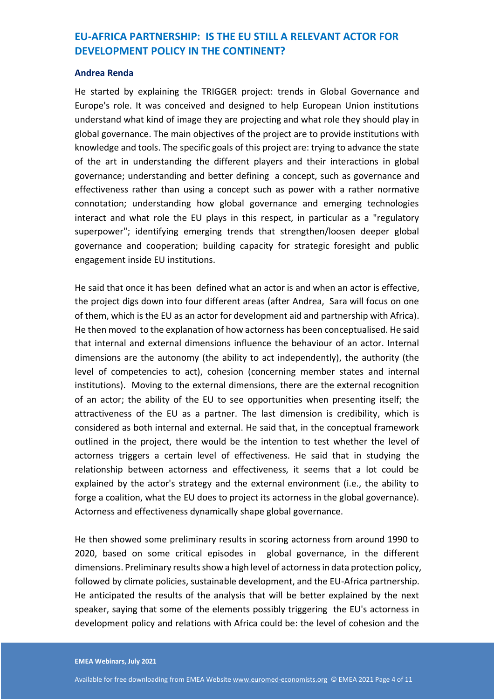#### **Andrea Renda**

He started by explaining the TRIGGER project: trends in Global Governance and Europe's role. It was conceived and designed to help European Union institutions understand what kind of image they are projecting and what role they should play in global governance. The main objectives of the project are to provide institutions with knowledge and tools. The specific goals of this project are: trying to advance the state of the art in understanding the different players and their interactions in global governance; understanding and better defining a concept, such as governance and effectiveness rather than using a concept such as power with a rather normative connotation; understanding how global governance and emerging technologies interact and what role the EU plays in this respect, in particular as a "regulatory superpower"; identifying emerging trends that strengthen/loosen deeper global governance and cooperation; building capacity for strategic foresight and public engagement inside EU institutions.

He said that once it has been defined what an actor is and when an actor is effective, the project digs down into four different areas (after Andrea, Sara will focus on one of them, which is the EU as an actor for development aid and partnership with Africa). He then moved to the explanation of how actorness has been conceptualised. He said that internal and external dimensions influence the behaviour of an actor. Internal dimensions are the autonomy (the ability to act independently), the authority (the level of competencies to act), cohesion (concerning member states and internal institutions). Moving to the external dimensions, there are the external recognition of an actor; the ability of the EU to see opportunities when presenting itself; the attractiveness of the EU as a partner. The last dimension is credibility, which is considered as both internal and external. He said that, in the conceptual framework outlined in the project, there would be the intention to test whether the level of actorness triggers a certain level of effectiveness. He said that in studying the relationship between actorness and effectiveness, it seems that a lot could be explained by the actor's strategy and the external environment (i.e., the ability to forge a coalition, what the EU does to project its actorness in the global governance). Actorness and effectiveness dynamically shape global governance.

He then showed some preliminary results in scoring actorness from around 1990 to 2020, based on some critical episodes in global governance, in the different dimensions. Preliminary results show a high level of actorness in data protection policy, followed by climate policies, sustainable development, and the EU-Africa partnership. He anticipated the results of the analysis that will be better explained by the next speaker, saying that some of the elements possibly triggering the EU's actorness in development policy and relations with Africa could be: the level of cohesion and the

**EMEA Webinars, July 2021**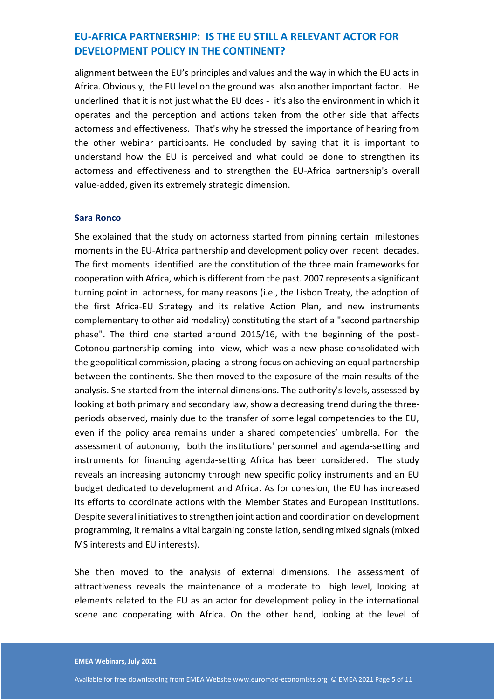alignment between the EU's principles and values and the way in which the EU acts in Africa. Obviously, the EU level on the ground was also another important factor. He underlined that it is not just what the EU does - it's also the environment in which it operates and the perception and actions taken from the other side that affects actorness and effectiveness. That's why he stressed the importance of hearing from the other webinar participants. He concluded by saying that it is important to understand how the EU is perceived and what could be done to strengthen its actorness and effectiveness and to strengthen the EU-Africa partnership's overall value-added, given its extremely strategic dimension.

#### **Sara Ronco**

She explained that the study on actorness started from pinning certain milestones moments in the EU-Africa partnership and development policy over recent decades. The first moments identified are the constitution of the three main frameworks for cooperation with Africa, which is different from the past. 2007 represents a significant turning point in actorness, for many reasons (i.e., the Lisbon Treaty, the adoption of the first Africa-EU Strategy and its relative Action Plan, and new instruments complementary to other aid modality) constituting the start of a "second partnership phase". The third one started around 2015/16, with the beginning of the post-Cotonou partnership coming into view, which was a new phase consolidated with the geopolitical commission, placing a strong focus on achieving an equal partnership between the continents. She then moved to the exposure of the main results of the analysis. She started from the internal dimensions. The authority's levels, assessed by looking at both primary and secondary law, show a decreasing trend during the threeperiods observed, mainly due to the transfer of some legal competencies to the EU, even if the policy area remains under a shared competencies' umbrella. For the assessment of autonomy, both the institutions' personnel and agenda-setting and instruments for financing agenda-setting Africa has been considered. The study reveals an increasing autonomy through new specific policy instruments and an EU budget dedicated to development and Africa. As for cohesion, the EU has increased its efforts to coordinate actions with the Member States and European Institutions. Despite several initiatives to strengthen joint action and coordination on development programming, it remains a vital bargaining constellation, sending mixed signals (mixed MS interests and EU interests).

She then moved to the analysis of external dimensions. The assessment of attractiveness reveals the maintenance of a moderate to high level, looking at elements related to the EU as an actor for development policy in the international scene and cooperating with Africa. On the other hand, looking at the level of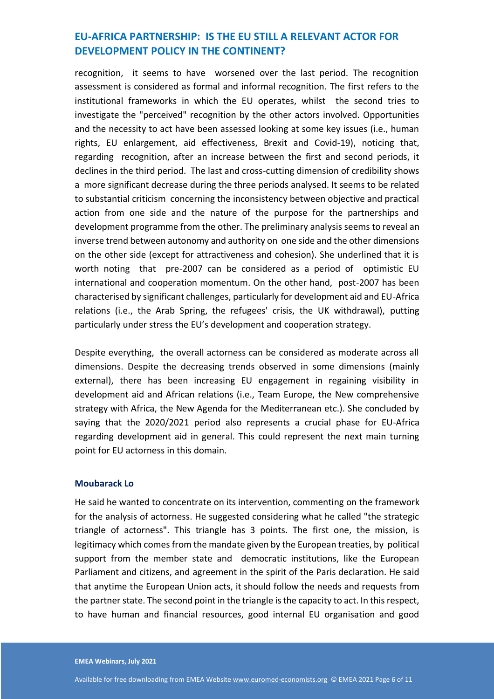recognition, it seems to have worsened over the last period. The recognition assessment is considered as formal and informal recognition. The first refers to the institutional frameworks in which the EU operates, whilst the second tries to investigate the "perceived" recognition by the other actors involved. Opportunities and the necessity to act have been assessed looking at some key issues (i.e., human rights, EU enlargement, aid effectiveness, Brexit and Covid-19), noticing that, regarding recognition, after an increase between the first and second periods, it declines in the third period. The last and cross-cutting dimension of credibility shows a more significant decrease during the three periods analysed. It seems to be related to substantial criticism concerning the inconsistency between objective and practical action from one side and the nature of the purpose for the partnerships and development programme from the other. The preliminary analysis seems to reveal an inverse trend between autonomy and authority on one side and the other dimensions on the other side (except for attractiveness and cohesion). She underlined that it is worth noting that pre-2007 can be considered as a period of optimistic EU international and cooperation momentum. On the other hand, post-2007 has been characterised by significant challenges, particularly for development aid and EU-Africa relations (i.e., the Arab Spring, the refugees' crisis, the UK withdrawal), putting particularly under stress the EU's development and cooperation strategy.

Despite everything, the overall actorness can be considered as moderate across all dimensions. Despite the decreasing trends observed in some dimensions (mainly external), there has been increasing EU engagement in regaining visibility in development aid and African relations (i.e., Team Europe, the New comprehensive strategy with Africa, the New Agenda for the Mediterranean etc.). She concluded by saying that the 2020/2021 period also represents a crucial phase for EU-Africa regarding development aid in general. This could represent the next main turning point for EU actorness in this domain.

#### **Moubarack Lo**

He said he wanted to concentrate on its intervention, commenting on the framework for the analysis of actorness. He suggested considering what he called "the strategic triangle of actorness". This triangle has 3 points. The first one, the mission, is legitimacy which comes from the mandate given by the European treaties, by political support from the member state and democratic institutions, like the European Parliament and citizens, and agreement in the spirit of the Paris declaration. He said that anytime the European Union acts, it should follow the needs and requests from the partner state. The second point in the triangle is the capacity to act. In this respect, to have human and financial resources, good internal EU organisation and good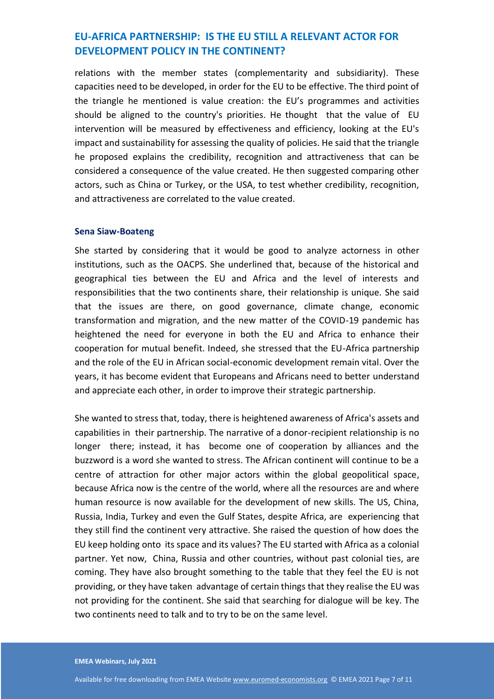relations with the member states (complementarity and subsidiarity). These capacities need to be developed, in order for the EU to be effective. The third point of the triangle he mentioned is value creation: the EU's programmes and activities should be aligned to the country's priorities. He thought that the value of EU intervention will be measured by effectiveness and efficiency, looking at the EU's impact and sustainability for assessing the quality of policies. He said that the triangle he proposed explains the credibility, recognition and attractiveness that can be considered a consequence of the value created. He then suggested comparing other actors, such as China or Turkey, or the USA, to test whether credibility, recognition, and attractiveness are correlated to the value created.

#### **Sena Siaw-Boateng**

She started by considering that it would be good to analyze actorness in other institutions, such as the OACPS. She underlined that, because of the historical and geographical ties between the EU and Africa and the level of interests and responsibilities that the two continents share, their relationship is unique. She said that the issues are there, on good governance, climate change, economic transformation and migration, and the new matter of the COVID-19 pandemic has heightened the need for everyone in both the EU and Africa to enhance their cooperation for mutual benefit. Indeed, she stressed that the EU-Africa partnership and the role of the EU in African social-economic development remain vital. Over the years, it has become evident that Europeans and Africans need to better understand and appreciate each other, in order to improve their strategic partnership.

She wanted to stress that, today, there is heightened awareness of Africa's assets and capabilities in their partnership. The narrative of a donor-recipient relationship is no longer there; instead, it has become one of cooperation by alliances and the buzzword is a word she wanted to stress. The African continent will continue to be a centre of attraction for other major actors within the global geopolitical space, because Africa now is the centre of the world, where all the resources are and where human resource is now available for the development of new skills. The US, China, Russia, India, Turkey and even the Gulf States, despite Africa, are experiencing that they still find the continent very attractive. She raised the question of how does the EU keep holding onto its space and its values? The EU started with Africa as a colonial partner. Yet now, China, Russia and other countries, without past colonial ties, are coming. They have also brought something to the table that they feel the EU is not providing, or they have taken advantage of certain things that they realise the EU was not providing for the continent. She said that searching for dialogue will be key. The two continents need to talk and to try to be on the same level.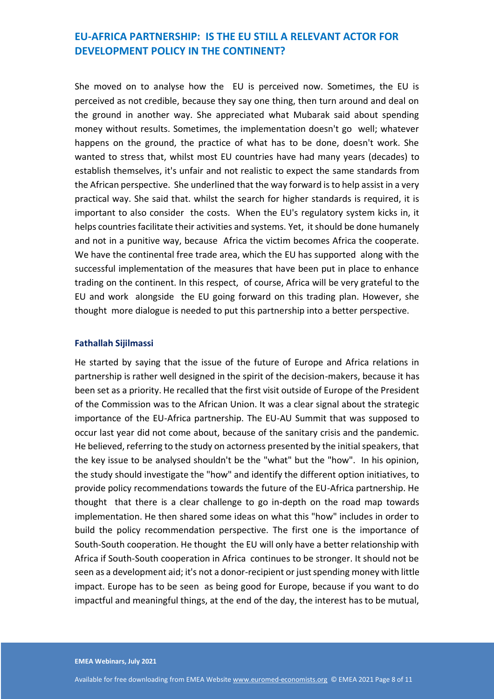She moved on to analyse how the EU is perceived now. Sometimes, the EU is perceived as not credible, because they say one thing, then turn around and deal on the ground in another way. She appreciated what Mubarak said about spending money without results. Sometimes, the implementation doesn't go well; whatever happens on the ground, the practice of what has to be done, doesn't work. She wanted to stress that, whilst most EU countries have had many years (decades) to establish themselves, it's unfair and not realistic to expect the same standards from the African perspective. She underlined that the way forward is to help assist in a very practical way. She said that. whilst the search for higher standards is required, it is important to also consider the costs. When the EU's regulatory system kicks in, it helps countries facilitate their activities and systems. Yet, it should be done humanely and not in a punitive way, because Africa the victim becomes Africa the cooperate. We have the continental free trade area, which the EU has supported along with the successful implementation of the measures that have been put in place to enhance trading on the continent. In this respect, of course, Africa will be very grateful to the EU and work alongside the EU going forward on this trading plan. However, she thought more dialogue is needed to put this partnership into a better perspective.

#### **Fathallah Sijilmassi**

He started by saying that the issue of the future of Europe and Africa relations in partnership is rather well designed in the spirit of the decision-makers, because it has been set as a priority. He recalled that the first visit outside of Europe of the President of the Commission was to the African Union. It was a clear signal about the strategic importance of the EU-Africa partnership. The EU-AU Summit that was supposed to occur last year did not come about, because of the sanitary crisis and the pandemic. He believed, referring to the study on actorness presented by the initial speakers, that the key issue to be analysed shouldn't be the "what" but the "how". In his opinion, the study should investigate the "how" and identify the different option initiatives, to provide policy recommendations towards the future of the EU-Africa partnership. He thought that there is a clear challenge to go in-depth on the road map towards implementation. He then shared some ideas on what this "how" includes in order to build the policy recommendation perspective. The first one is the importance of South-South cooperation. He thought the EU will only have a better relationship with Africa if South-South cooperation in Africa continues to be stronger. It should not be seen as a development aid; it's not a donor-recipient or just spending money with little impact. Europe has to be seen as being good for Europe, because if you want to do impactful and meaningful things, at the end of the day, the interest has to be mutual,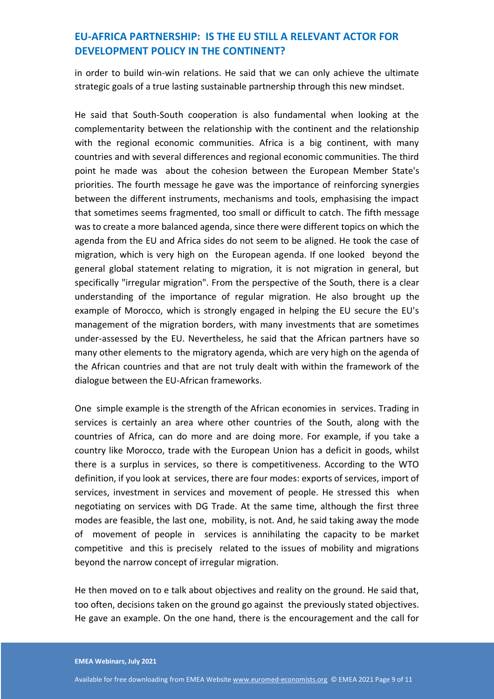in order to build win-win relations. He said that we can only achieve the ultimate strategic goals of a true lasting sustainable partnership through this new mindset.

He said that South-South cooperation is also fundamental when looking at the complementarity between the relationship with the continent and the relationship with the regional economic communities. Africa is a big continent, with many countries and with several differences and regional economic communities. The third point he made was about the cohesion between the European Member State's priorities. The fourth message he gave was the importance of reinforcing synergies between the different instruments, mechanisms and tools, emphasising the impact that sometimes seems fragmented, too small or difficult to catch. The fifth message was to create a more balanced agenda, since there were different topics on which the agenda from the EU and Africa sides do not seem to be aligned. He took the case of migration, which is very high on the European agenda. If one looked beyond the general global statement relating to migration, it is not migration in general, but specifically "irregular migration". From the perspective of the South, there is a clear understanding of the importance of regular migration. He also brought up the example of Morocco, which is strongly engaged in helping the EU secure the EU's management of the migration borders, with many investments that are sometimes under-assessed by the EU. Nevertheless, he said that the African partners have so many other elements to the migratory agenda, which are very high on the agenda of the African countries and that are not truly dealt with within the framework of the dialogue between the EU-African frameworks.

One simple example is the strength of the African economies in services. Trading in services is certainly an area where other countries of the South, along with the countries of Africa, can do more and are doing more. For example, if you take a country like Morocco, trade with the European Union has a deficit in goods, whilst there is a surplus in services, so there is competitiveness. According to the WTO definition, if you look at services, there are four modes: exports of services, import of services, investment in services and movement of people. He stressed this when negotiating on services with DG Trade. At the same time, although the first three modes are feasible, the last one, mobility, is not. And, he said taking away the mode of movement of people in services is annihilating the capacity to be market competitive and this is precisely related to the issues of mobility and migrations beyond the narrow concept of irregular migration.

He then moved on to e talk about objectives and reality on the ground. He said that, too often, decisions taken on the ground go against the previously stated objectives. He gave an example. On the one hand, there is the encouragement and the call for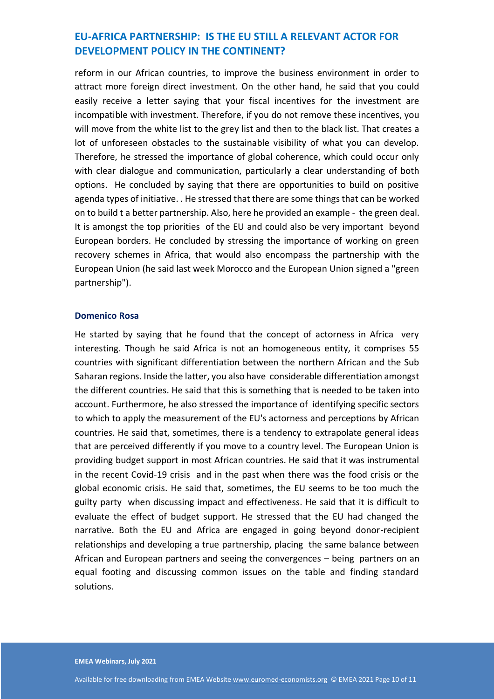reform in our African countries, to improve the business environment in order to attract more foreign direct investment. On the other hand, he said that you could easily receive a letter saying that your fiscal incentives for the investment are incompatible with investment. Therefore, if you do not remove these incentives, you will move from the white list to the grey list and then to the black list. That creates a lot of unforeseen obstacles to the sustainable visibility of what you can develop. Therefore, he stressed the importance of global coherence, which could occur only with clear dialogue and communication, particularly a clear understanding of both options. He concluded by saying that there are opportunities to build on positive agenda types of initiative. . He stressed that there are some things that can be worked on to build t a better partnership. Also, here he provided an example - the green deal. It is amongst the top priorities of the EU and could also be very important beyond European borders. He concluded by stressing the importance of working on green recovery schemes in Africa, that would also encompass the partnership with the European Union (he said last week Morocco and the European Union signed a "green partnership").

#### **Domenico Rosa**

He started by saying that he found that the concept of actorness in Africa very interesting. Though he said Africa is not an homogeneous entity, it comprises 55 countries with significant differentiation between the northern African and the Sub Saharan regions. Inside the latter, you also have considerable differentiation amongst the different countries. He said that this is something that is needed to be taken into account. Furthermore, he also stressed the importance of identifying specific sectors to which to apply the measurement of the EU's actorness and perceptions by African countries. He said that, sometimes, there is a tendency to extrapolate general ideas that are perceived differently if you move to a country level. The European Union is providing budget support in most African countries. He said that it was instrumental in the recent Covid-19 crisis and in the past when there was the food crisis or the global economic crisis. He said that, sometimes, the EU seems to be too much the guilty party when discussing impact and effectiveness. He said that it is difficult to evaluate the effect of budget support. He stressed that the EU had changed the narrative. Both the EU and Africa are engaged in going beyond donor-recipient relationships and developing a true partnership, placing the same balance between African and European partners and seeing the convergences – being partners on an equal footing and discussing common issues on the table and finding standard solutions.